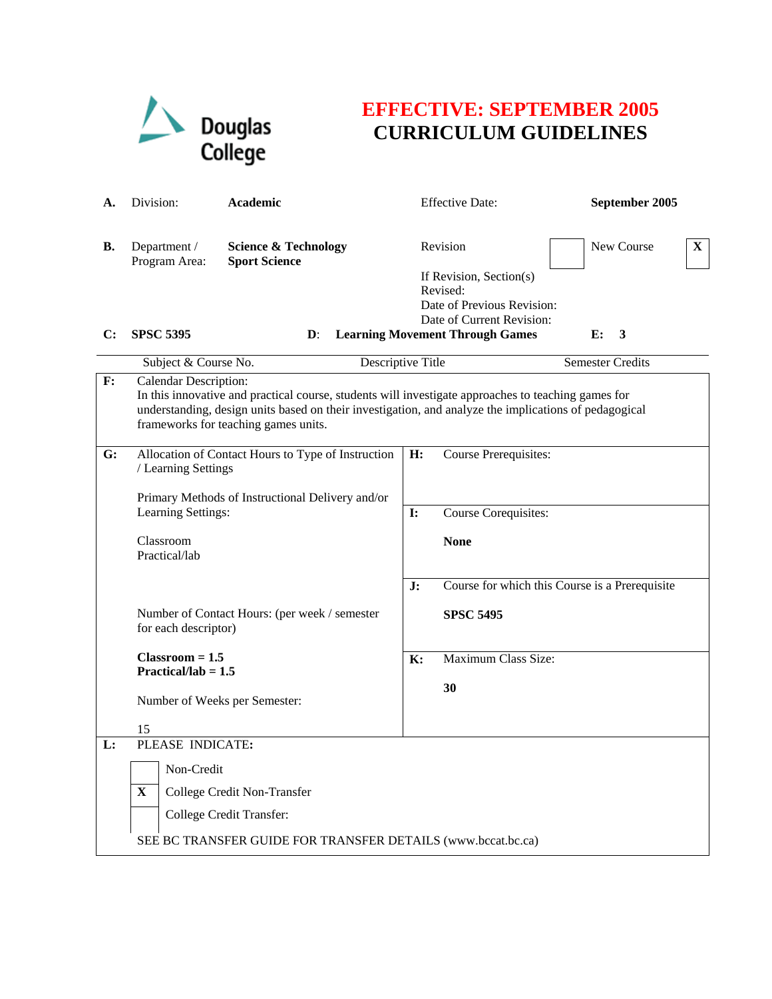

## **EFFECTIVE: SEPTEMBER 2005 CURRICULUM GUIDELINES**

| А. | Division:                                                                   | Academic                                                                                                                                                                                                                                             |                | <b>Effective Date:</b>                                                                                     | September 2005                                 |              |
|----|-----------------------------------------------------------------------------|------------------------------------------------------------------------------------------------------------------------------------------------------------------------------------------------------------------------------------------------------|----------------|------------------------------------------------------------------------------------------------------------|------------------------------------------------|--------------|
| В. | Department /<br>Program Area:                                               | <b>Science &amp; Technology</b><br><b>Sport Science</b>                                                                                                                                                                                              |                | Revision<br>If Revision, Section(s)<br>Revised:<br>Date of Previous Revision:<br>Date of Current Revision: | New Course                                     | $\mathbf{X}$ |
| C: | <b>SPSC 5395</b>                                                            | $\mathbf{D}$ :                                                                                                                                                                                                                                       |                | <b>Learning Movement Through Games</b>                                                                     | E:<br>3                                        |              |
|    | Subject & Course No.                                                        | Descriptive Title                                                                                                                                                                                                                                    |                |                                                                                                            | <b>Semester Credits</b>                        |              |
| F: | Calendar Description:                                                       | In this innovative and practical course, students will investigate approaches to teaching games for<br>understanding, design units based on their investigation, and analyze the implications of pedagogical<br>frameworks for teaching games units. |                |                                                                                                            |                                                |              |
| G: | / Learning Settings                                                         | Allocation of Contact Hours to Type of Instruction<br>Primary Methods of Instructional Delivery and/or                                                                                                                                               | H:             | <b>Course Prerequisites:</b>                                                                               |                                                |              |
|    | Learning Settings:                                                          |                                                                                                                                                                                                                                                      | $\mathbf{I}$ : | Course Corequisites:                                                                                       |                                                |              |
|    | Classroom<br>Practical/lab                                                  |                                                                                                                                                                                                                                                      |                | <b>None</b>                                                                                                |                                                |              |
|    |                                                                             | Number of Contact Hours: (per week / semester                                                                                                                                                                                                        | J:             | <b>SPSC 5495</b>                                                                                           | Course for which this Course is a Prerequisite |              |
|    | for each descriptor)                                                        |                                                                                                                                                                                                                                                      |                |                                                                                                            |                                                |              |
|    | $Classroom = 1.5$<br>Practical/lab = $1.5$<br>Number of Weeks per Semester: |                                                                                                                                                                                                                                                      | K:             | Maximum Class Size:<br>30                                                                                  |                                                |              |
|    | 15                                                                          |                                                                                                                                                                                                                                                      |                |                                                                                                            |                                                |              |
| L: | PLEASE INDICATE:                                                            |                                                                                                                                                                                                                                                      |                |                                                                                                            |                                                |              |
|    | Non-Credit                                                                  |                                                                                                                                                                                                                                                      |                |                                                                                                            |                                                |              |
|    | X                                                                           | College Credit Non-Transfer                                                                                                                                                                                                                          |                |                                                                                                            |                                                |              |
|    |                                                                             | College Credit Transfer:                                                                                                                                                                                                                             |                |                                                                                                            |                                                |              |
|    |                                                                             | SEE BC TRANSFER GUIDE FOR TRANSFER DETAILS (www.bccat.bc.ca)                                                                                                                                                                                         |                |                                                                                                            |                                                |              |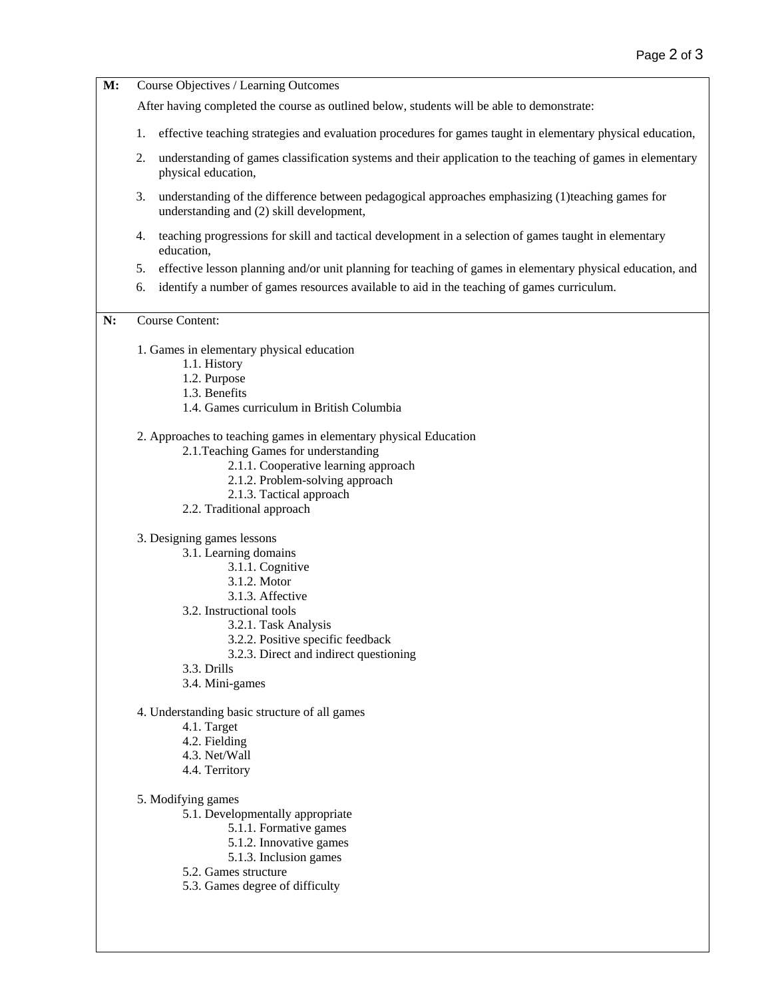| M: | Course Objectives / Learning Outcomes                                                                                                                                                                                |  |  |  |  |  |
|----|----------------------------------------------------------------------------------------------------------------------------------------------------------------------------------------------------------------------|--|--|--|--|--|
|    | After having completed the course as outlined below, students will be able to demonstrate:                                                                                                                           |  |  |  |  |  |
|    | effective teaching strategies and evaluation procedures for games taught in elementary physical education,<br>1.                                                                                                     |  |  |  |  |  |
|    | understanding of games classification systems and their application to the teaching of games in elementary<br>2.<br>physical education,                                                                              |  |  |  |  |  |
|    | understanding of the difference between pedagogical approaches emphasizing (1)teaching games for<br>3.<br>understanding and (2) skill development,                                                                   |  |  |  |  |  |
|    | teaching progressions for skill and tactical development in a selection of games taught in elementary<br>4.<br>education.                                                                                            |  |  |  |  |  |
|    | effective lesson planning and/or unit planning for teaching of games in elementary physical education, and<br>5.<br>identify a number of games resources available to aid in the teaching of games curriculum.<br>6. |  |  |  |  |  |
| N: | <b>Course Content:</b>                                                                                                                                                                                               |  |  |  |  |  |
|    | 1. Games in elementary physical education                                                                                                                                                                            |  |  |  |  |  |
|    | 1.1. History                                                                                                                                                                                                         |  |  |  |  |  |
|    | 1.2. Purpose<br>1.3. Benefits                                                                                                                                                                                        |  |  |  |  |  |
|    | 1.4. Games curriculum in British Columbia                                                                                                                                                                            |  |  |  |  |  |
|    | 2. Approaches to teaching games in elementary physical Education                                                                                                                                                     |  |  |  |  |  |
|    | 2.1. Teaching Games for understanding                                                                                                                                                                                |  |  |  |  |  |
|    | 2.1.1. Cooperative learning approach                                                                                                                                                                                 |  |  |  |  |  |
|    | 2.1.2. Problem-solving approach<br>2.1.3. Tactical approach                                                                                                                                                          |  |  |  |  |  |
|    | 2.2. Traditional approach                                                                                                                                                                                            |  |  |  |  |  |
|    | 3. Designing games lessons                                                                                                                                                                                           |  |  |  |  |  |
|    | 3.1. Learning domains                                                                                                                                                                                                |  |  |  |  |  |
|    | 3.1.1. Cognitive<br>3.1.2. Motor                                                                                                                                                                                     |  |  |  |  |  |
|    | 3.1.3. Affective                                                                                                                                                                                                     |  |  |  |  |  |
|    | 3.2. Instructional tools                                                                                                                                                                                             |  |  |  |  |  |
|    | 3.2.1. Task Analysis                                                                                                                                                                                                 |  |  |  |  |  |
|    | 3.2.2. Positive specific feedback<br>3.2.3. Direct and indirect questioning                                                                                                                                          |  |  |  |  |  |
|    | 3.3. Drills                                                                                                                                                                                                          |  |  |  |  |  |
|    | 3.4. Mini-games                                                                                                                                                                                                      |  |  |  |  |  |
|    | 4. Understanding basic structure of all games                                                                                                                                                                        |  |  |  |  |  |
|    | 4.1. Target                                                                                                                                                                                                          |  |  |  |  |  |
|    | 4.2. Fielding<br>4.3. Net/Wall                                                                                                                                                                                       |  |  |  |  |  |
|    | 4.4. Territory                                                                                                                                                                                                       |  |  |  |  |  |
|    | 5. Modifying games                                                                                                                                                                                                   |  |  |  |  |  |
|    | 5.1. Developmentally appropriate                                                                                                                                                                                     |  |  |  |  |  |
|    | 5.1.1. Formative games                                                                                                                                                                                               |  |  |  |  |  |
|    | 5.1.2. Innovative games<br>5.1.3. Inclusion games                                                                                                                                                                    |  |  |  |  |  |
|    | 5.2. Games structure                                                                                                                                                                                                 |  |  |  |  |  |
|    | 5.3. Games degree of difficulty                                                                                                                                                                                      |  |  |  |  |  |